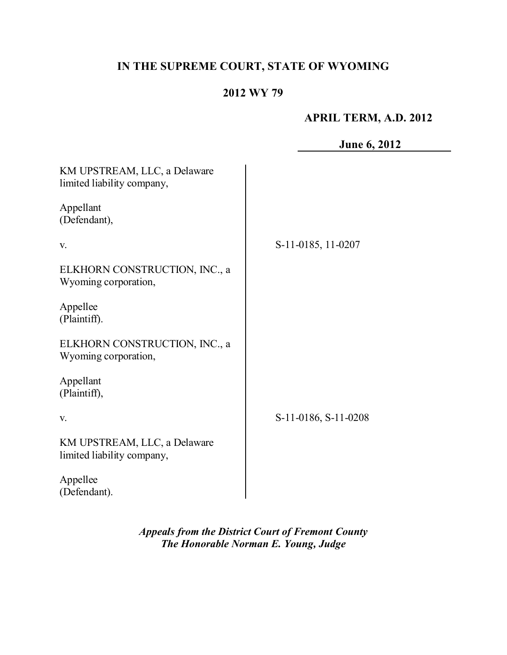# **IN THE SUPREME COURT, STATE OF WYOMING**

# **2012 WY 79**

## **APRIL TERM, A.D. 2012**

**June 6, 2012** KM UPSTREAM, LLC, a Delaware limited liability company, Appellant (Defendant), v. ELKHORN CONSTRUCTION, INC., a Wyoming corporation, Appellee (Plaintiff). ELKHORN CONSTRUCTION, INC., a Wyoming corporation, Appellant (Plaintiff), v. KM UPSTREAM, LLC, a Delaware limited liability company, Appellee (Defendant). S-11-0185, 11-0207 S-11-0186, S-11-0208

> *Appeals from the District Court of Fremont County The Honorable Norman E. Young, Judge*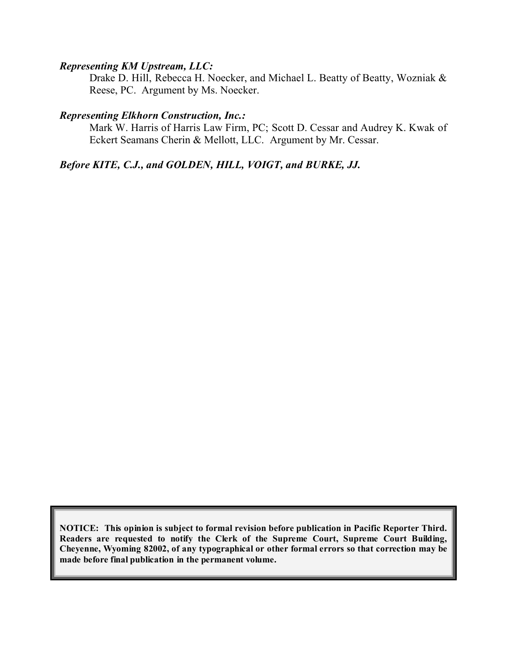#### *Representing KM Upstream, LLC:*

Drake D. Hill, Rebecca H. Noecker, and Michael L. Beatty of Beatty, Wozniak & Reese, PC. Argument by Ms. Noecker.

#### *Representing Elkhorn Construction, Inc.:*

Mark W. Harris of Harris Law Firm, PC; Scott D. Cessar and Audrey K. Kwak of Eckert Seamans Cherin & Mellott, LLC. Argument by Mr. Cessar.

### *Before KITE, C.J., and GOLDEN, HILL, VOIGT, and BURKE, JJ.*

**NOTICE: This opinion is subject to formal revision before publication in Pacific Reporter Third. Readers are requested to notify the Clerk of the Supreme Court, Supreme Court Building, Cheyenne, Wyoming 82002, of any typographical or other formal errors so that correction may be made before final publication in the permanent volume.**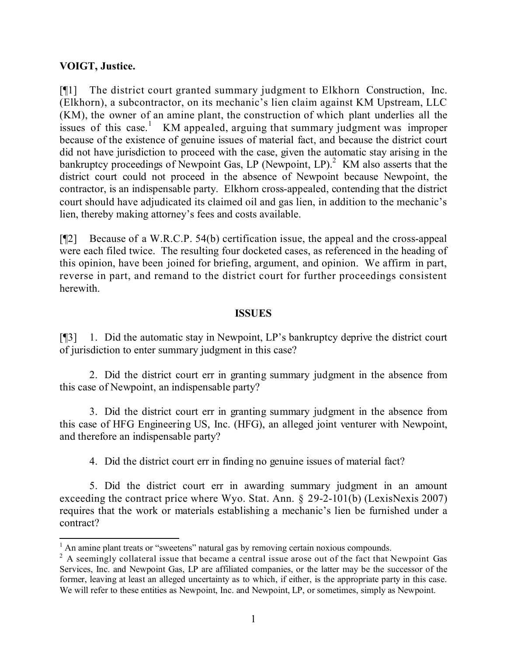### **VOIGT, Justice.**

[¶1] The district court granted summary judgment to Elkhorn Construction, Inc. (Elkhorn), a subcontractor, on its mechanic's lien claim against KM Upstream, LLC (KM), the owner of an amine plant, the construction of which plant underlies all the issues of this case.<sup>1</sup> KM appealed, arguing that summary judgment was improper because of the existence of genuine issues of material fact, and because the district court did not have jurisdiction to proceed with the case, given the automatic stay arising in the bankruptcy proceedings of Newpoint Gas, LP (Newpoint, LP). $^2$  KM also asserts that the district court could not proceed in the absence of Newpoint because Newpoint, the contractor, is an indispensable party. Elkhorn cross-appealed, contending that the district court should have adjudicated its claimed oil and gas lien, in addition to the mechanic's lien, thereby making attorney's fees and costs available.

[¶2] Because of a W.R.C.P. 54(b) certification issue, the appeal and the cross-appeal were each filed twice. The resulting four docketed cases, as referenced in the heading of this opinion, have been joined for briefing, argument, and opinion. We affirm in part, reverse in part, and remand to the district court for further proceedings consistent herewith.

#### **ISSUES**

[¶3] 1. Did the automatic stay in Newpoint, LP's bankruptcy deprive the district court of jurisdiction to enter summary judgment in this case?

2. Did the district court err in granting summary judgment in the absence from this case of Newpoint, an indispensable party?

3. Did the district court err in granting summary judgment in the absence from this case of HFG Engineering US, Inc. (HFG), an alleged joint venturer with Newpoint, and therefore an indispensable party?

4. Did the district court err in finding no genuine issues of material fact?

5. Did the district court err in awarding summary judgment in an amount exceeding the contract price where Wyo. Stat. Ann. § 29-2-101(b) (LexisNexis 2007) requires that the work or materials establishing a mechanic's lien be furnished under a contract?

  $<sup>1</sup>$  An amine plant treats or "sweetens" natural gas by removing certain noxious compounds.</sup>

 $2 \text{ A seemingly collateral issue that became a central issue arose out of the fact that Newpoint Gas.}$ Services, Inc. and Newpoint Gas, LP are affiliated companies, or the latter may be the successor of the former, leaving at least an alleged uncertainty as to which, if either, is the appropriate party in this case. We will refer to these entities as Newpoint, Inc. and Newpoint, LP, or sometimes, simply as Newpoint.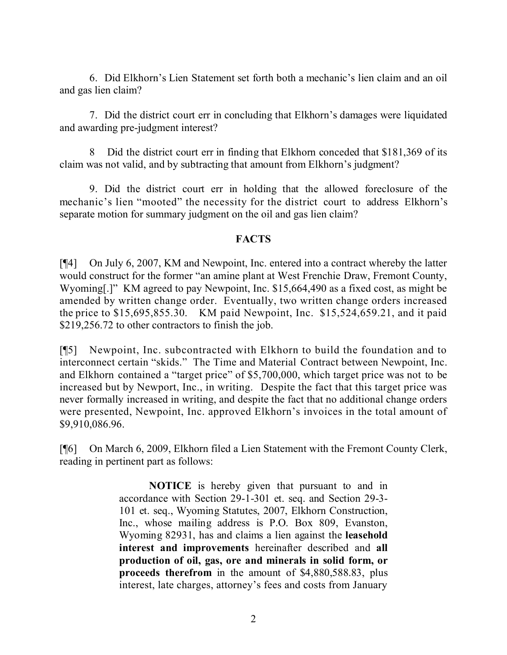6. Did Elkhorn's Lien Statement set forth both a mechanic's lien claim and an oil and gas lien claim?

7. Did the district court err in concluding that Elkhorn's damages were liquidated and awarding pre-judgment interest?

Did the district court err in finding that Elkhorn conceded that \$181,369 of its claim was not valid, and by subtracting that amount from Elkhorn's judgment?

9. Did the district court err in holding that the allowed foreclosure of the mechanic's lien "mooted" the necessity for the district court to address Elkhorn's separate motion for summary judgment on the oil and gas lien claim?

#### **FACTS**

[¶4] On July 6, 2007, KM and Newpoint, Inc. entered into a contract whereby the latter would construct for the former "an amine plant at West Frenchie Draw, Fremont County, Wyoming[.]" KM agreed to pay Newpoint, Inc. \$15,664,490 as a fixed cost, as might be amended by written change order. Eventually, two written change orders increased the price to \$15,695,855.30. KM paid Newpoint, Inc. \$15,524,659.21, and it paid \$219,256.72 to other contractors to finish the job.

[¶5] Newpoint, Inc. subcontracted with Elkhorn to build the foundation and to interconnect certain "skids." The Time and Material Contract between Newpoint, Inc. and Elkhorn contained a "target price" of \$5,700,000, which target price was not to be increased but by Newport, Inc., in writing. Despite the fact that this target price was never formally increased in writing, and despite the fact that no additional change orders were presented, Newpoint, Inc. approved Elkhorn's invoices in the total amount of \$9,910,086.96.

[¶6] On March 6, 2009, Elkhorn filed a Lien Statement with the Fremont County Clerk, reading in pertinent part as follows:

> **NOTICE** is hereby given that pursuant to and in accordance with Section 29-1-301 et. seq. and Section 29-3- 101 et. seq., Wyoming Statutes, 2007, Elkhorn Construction, Inc., whose mailing address is P.O. Box 809, Evanston, Wyoming 82931, has and claims a lien against the **leasehold interest and improvements** hereinafter described and **all production of oil, gas, ore and minerals in solid form, or proceeds therefrom** in the amount of \$4,880,588.83, plus interest, late charges, attorney's fees and costs from January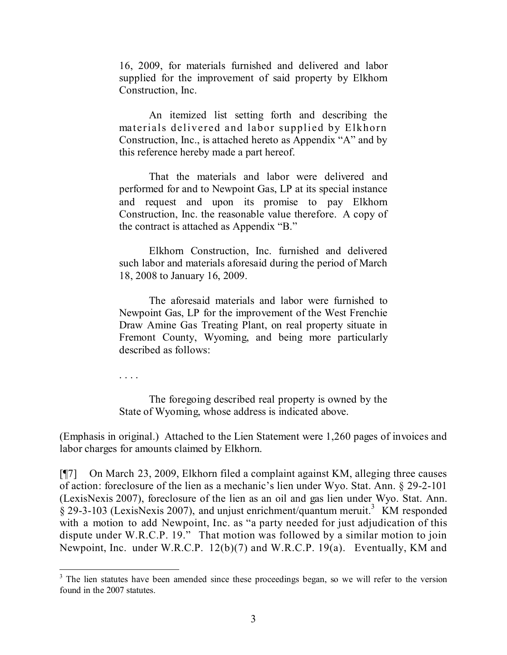16, 2009, for materials furnished and delivered and labor supplied for the improvement of said property by Elkhorn Construction, Inc.

An itemized list setting forth and describing the materials delivered and labor supplied by Elkhorn Construction, Inc., is attached hereto as Appendix "A" and by this reference hereby made a part hereof.

That the materials and labor were delivered and performed for and to Newpoint Gas, LP at its special instance and request and upon its promise to pay Elkhorn Construction, Inc. the reasonable value therefore. A copy of the contract is attached as Appendix "B."

Elkhorn Construction, Inc. furnished and delivered such labor and materials aforesaid during the period of March 18, 2008 to January 16, 2009.

The aforesaid materials and labor were furnished to Newpoint Gas, LP for the improvement of the West Frenchie Draw Amine Gas Treating Plant, on real property situate in Fremont County, Wyoming, and being more particularly described as follows:

. . . .

The foregoing described real property is owned by the State of Wyoming, whose address is indicated above.

(Emphasis in original.) Attached to the Lien Statement were 1,260 pages of invoices and labor charges for amounts claimed by Elkhorn.

[¶7] On March 23, 2009, Elkhorn filed a complaint against KM, alleging three causes of action: foreclosure of the lien as a mechanic's lien under Wyo. Stat. Ann. § 29-2-101 (LexisNexis 2007), foreclosure of the lien as an oil and gas lien under Wyo. Stat. Ann.  $\S$  29-3-103 (LexisNexis 2007), and unjust enrichment/quantum meruit.<sup>3</sup> KM responded with a motion to add Newpoint, Inc. as "a party needed for just adjudication of this dispute under W.R.C.P. 19." That motion was followed by a similar motion to join Newpoint, Inc. under W.R.C.P. 12(b)(7) and W.R.C.P. 19(a). Eventually, KM and

 $3$  The lien statutes have been amended since these proceedings began, so we will refer to the version found in the 2007 statutes.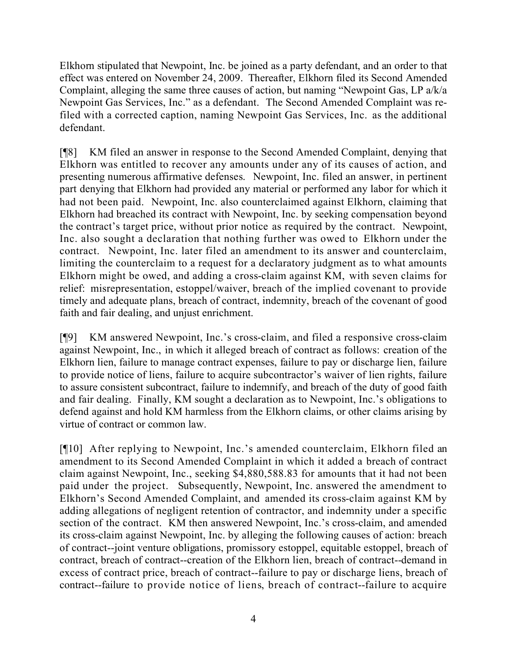Elkhorn stipulated that Newpoint, Inc. be joined as a party defendant, and an order to that effect was entered on November 24, 2009. Thereafter, Elkhorn filed its Second Amended Complaint, alleging the same three causes of action, but naming "Newpoint Gas, LP a/k/a Newpoint Gas Services, Inc." as a defendant. The Second Amended Complaint was refiled with a corrected caption, naming Newpoint Gas Services, Inc. as the additional defendant.

[¶8] KM filed an answer in response to the Second Amended Complaint, denying that Elkhorn was entitled to recover any amounts under any of its causes of action, and presenting numerous affirmative defenses. Newpoint, Inc. filed an answer, in pertinent part denying that Elkhorn had provided any material or performed any labor for which it had not been paid. Newpoint, Inc. also counterclaimed against Elkhorn, claiming that Elkhorn had breached its contract with Newpoint, Inc. by seeking compensation beyond the contract's target price, without prior notice as required by the contract. Newpoint, Inc. also sought a declaration that nothing further was owed to Elkhorn under the contract. Newpoint, Inc. later filed an amendment to its answer and counterclaim, limiting the counterclaim to a request for a declaratory judgment as to what amounts Elkhorn might be owed, and adding a cross-claim against KM, with seven claims for relief: misrepresentation, estoppel/waiver, breach of the implied covenant to provide timely and adequate plans, breach of contract, indemnity, breach of the covenant of good faith and fair dealing, and unjust enrichment.

[¶9] KM answered Newpoint, Inc.'s cross-claim, and filed a responsive cross-claim against Newpoint, Inc., in which it alleged breach of contract as follows: creation of the Elkhorn lien, failure to manage contract expenses, failure to pay or discharge lien, failure to provide notice of liens, failure to acquire subcontractor's waiver of lien rights, failure to assure consistent subcontract, failure to indemnify, and breach of the duty of good faith and fair dealing. Finally, KM sought a declaration as to Newpoint, Inc.'s obligations to defend against and hold KM harmless from the Elkhorn claims, or other claims arising by virtue of contract or common law.

[¶10] After replying to Newpoint, Inc.'s amended counterclaim, Elkhorn filed an amendment to its Second Amended Complaint in which it added a breach of contract claim against Newpoint, Inc., seeking \$4,880,588.83 for amounts that it had not been paid under the project. Subsequently, Newpoint, Inc. answered the amendment to Elkhorn's Second Amended Complaint, and amended its cross-claim against KM by adding allegations of negligent retention of contractor, and indemnity under a specific section of the contract. KM then answered Newpoint, Inc.'s cross-claim, and amended its cross-claim against Newpoint, Inc. by alleging the following causes of action: breach of contract--joint venture obligations, promissory estoppel, equitable estoppel, breach of contract, breach of contract--creation of the Elkhorn lien, breach of contract--demand in excess of contract price, breach of contract--failure to pay or discharge liens, breach of contract--failure to provide notice of liens, breach of contract--failure to acquire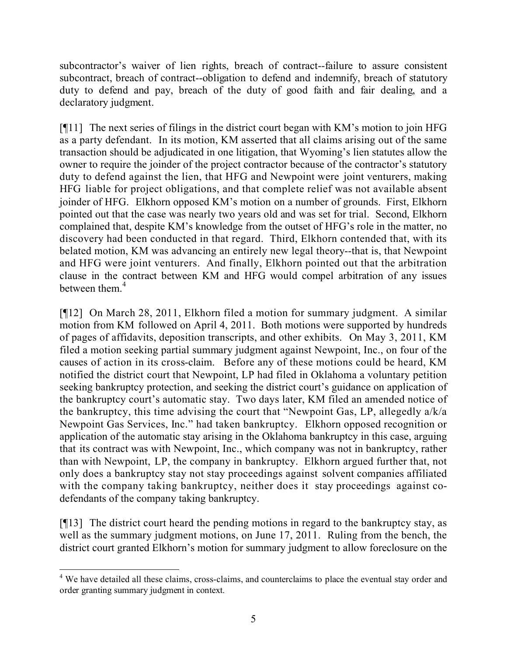subcontractor's waiver of lien rights, breach of contract--failure to assure consistent subcontract, breach of contract--obligation to defend and indemnify, breach of statutory duty to defend and pay, breach of the duty of good faith and fair dealing, and a declaratory judgment.

[¶11] The next series of filings in the district court began with KM's motion to join HFG as a party defendant. In its motion, KM asserted that all claims arising out of the same transaction should be adjudicated in one litigation, that Wyoming's lien statutes allow the owner to require the joinder of the project contractor because of the contractor's statutory duty to defend against the lien, that HFG and Newpoint were joint venturers, making HFG liable for project obligations, and that complete relief was not available absent joinder of HFG. Elkhorn opposed KM's motion on a number of grounds. First, Elkhorn pointed out that the case was nearly two years old and was set for trial. Second, Elkhorn complained that, despite KM's knowledge from the outset of HFG's role in the matter, no discovery had been conducted in that regard. Third, Elkhorn contended that, with its belated motion, KM was advancing an entirely new legal theory--that is, that Newpoint and HFG were joint venturers. And finally, Elkhorn pointed out that the arbitration clause in the contract between KM and HFG would compel arbitration of any issues between them  $4$ 

[¶12] On March 28, 2011, Elkhorn filed a motion for summary judgment. A similar motion from KM followed on April 4, 2011. Both motions were supported by hundreds of pages of affidavits, deposition transcripts, and other exhibits. On May 3, 2011, KM filed a motion seeking partial summary judgment against Newpoint, Inc., on four of the causes of action in its cross-claim. Before any of these motions could be heard, KM notified the district court that Newpoint, LP had filed in Oklahoma a voluntary petition seeking bankruptcy protection, and seeking the district court's guidance on application of the bankruptcy court's automatic stay. Two days later, KM filed an amended notice of the bankruptcy, this time advising the court that "Newpoint Gas, LP, allegedly a/k/a Newpoint Gas Services, Inc." had taken bankruptcy. Elkhorn opposed recognition or application of the automatic stay arising in the Oklahoma bankruptcy in this case, arguing that its contract was with Newpoint, Inc., which company was not in bankruptcy, rather than with Newpoint, LP, the company in bankruptcy. Elkhorn argued further that, not only does a bankruptcy stay not stay proceedings against solvent companies affiliated with the company taking bankruptcy, neither does it stay proceedings against codefendants of the company taking bankruptcy.

[¶13] The district court heard the pending motions in regard to the bankruptcy stay, as well as the summary judgment motions, on June 17, 2011. Ruling from the bench, the district court granted Elkhorn's motion for summary judgment to allow foreclosure on the

 <sup>4</sup> We have detailed all these claims, cross-claims, and counterclaims to place the eventual stay order and order granting summary judgment in context.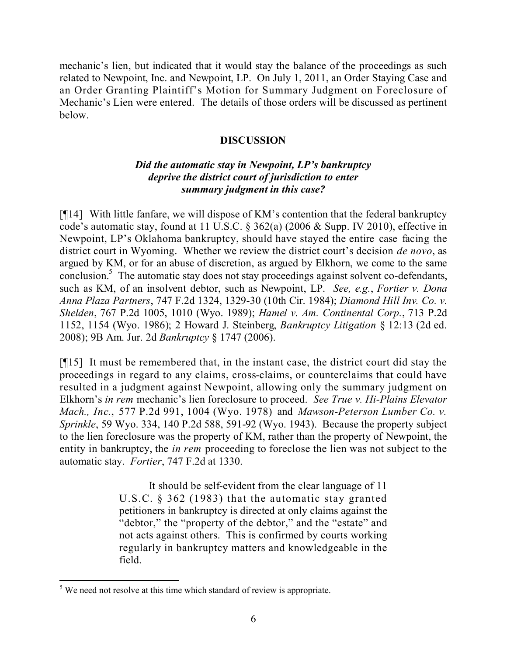mechanic's lien, but indicated that it would stay the balance of the proceedings as such related to Newpoint, Inc. and Newpoint, LP. On July 1, 2011, an Order Staying Case and an Order Granting Plaintiff's Motion for Summary Judgment on Foreclosure of Mechanic's Lien were entered. The details of those orders will be discussed as pertinent below.

## **DISCUSSION**

## *Did the automatic stay in Newpoint, LP's bankruptcy deprive the district court of jurisdiction to enter summary judgment in this case?*

[¶14] With little fanfare, we will dispose of KM's contention that the federal bankruptcy code's automatic stay, found at 11 U.S.C. § 362(a) (2006 & Supp. IV 2010), effective in Newpoint, LP's Oklahoma bankruptcy, should have stayed the entire case facing the district court in Wyoming. Whether we review the district court's decision *de novo*, as argued by KM, or for an abuse of discretion, as argued by Elkhorn, we come to the same conclusion.<sup>5</sup> The automatic stay does not stay proceedings against solvent co-defendants, such as KM, of an insolvent debtor, such as Newpoint, LP. *See, e.g.*, *Fortier v. Dona Anna Plaza Partners*, 747 F.2d 1324, 1329-30 (10th Cir. 1984); *Diamond Hill Inv. Co. v. Shelden*, 767 P.2d 1005, 1010 (Wyo. 1989); *Hamel v. Am. Continental Corp.*, 713 P.2d 1152, 1154 (Wyo. 1986); 2 Howard J. Steinberg, *Bankruptcy Litigation* § 12:13 (2d ed. 2008); 9B Am. Jur. 2d *Bankruptcy* § 1747 (2006).

[¶15] It must be remembered that, in the instant case, the district court did stay the proceedings in regard to any claims, cross-claims, or counterclaims that could have resulted in a judgment against Newpoint, allowing only the summary judgment on Elkhorn's *in rem* mechanic's lien foreclosure to proceed. *See True v. Hi-Plains Elevator Mach., Inc.*, 577 P.2d 991, 1004 (Wyo. 1978) and *Mawson-Peterson Lumber Co. v. Sprinkle*, 59 Wyo. 334, 140 P.2d 588, 591-92 (Wyo. 1943). Because the property subject to the lien foreclosure was the property of KM, rather than the property of Newpoint, the entity in bankruptcy, the *in rem* proceeding to foreclose the lien was not subject to the automatic stay. *Fortier*, 747 F.2d at 1330.

> It should be self-evident from the clear language of 11 U.S.C. § 362 (1983) that the automatic stay granted petitioners in bankruptcy is directed at only claims against the "debtor," the "property of the debtor," and the "estate" and not acts against others. This is confirmed by courts working regularly in bankruptcy matters and knowledgeable in the field.

 <sup>5</sup> We need not resolve at this time which standard of review is appropriate.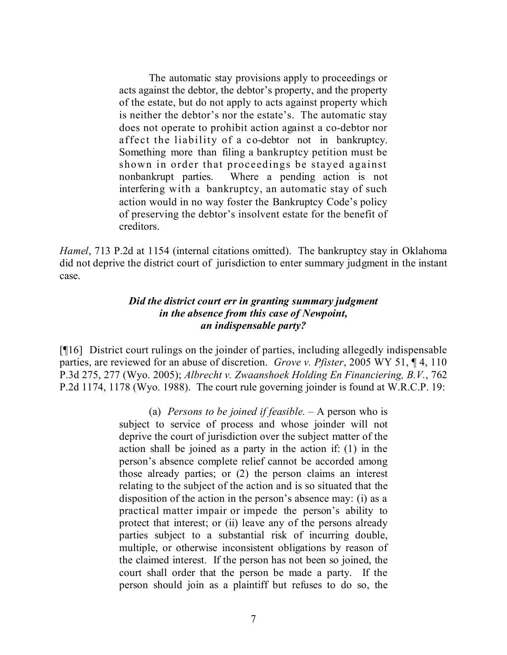The automatic stay provisions apply to proceedings or acts against the debtor, the debtor's property, and the property of the estate, but do not apply to acts against property which is neither the debtor's nor the estate's. The automatic stay does not operate to prohibit action against a co-debtor nor affect the liability of a co-debtor not in bankruptcy. Something more than filing a bankruptcy petition must be shown in order that proceedings be stayed against nonbankrupt parties. Where a pending action is not interfering with a bankruptcy, an automatic stay of such action would in no way foster the Bankruptcy Code's policy of preserving the debtor's insolvent estate for the benefit of creditors.

*Hamel*, 713 P.2d at 1154 (internal citations omitted). The bankruptcy stay in Oklahoma did not deprive the district court of jurisdiction to enter summary judgment in the instant case.

#### *Did the district court err in granting summary judgment in the absence from this case of Newpoint, an indispensable party?*

[¶16] District court rulings on the joinder of parties, including allegedly indispensable parties, are reviewed for an abuse of discretion. *Grove v. Pfister*, 2005 WY 51, ¶ 4, 110 P.3d 275, 277 (Wyo. 2005); *Albrecht v. Zwaanshoek Holding En Financiering, B.V.*, 762 P.2d 1174, 1178 (Wyo. 1988). The court rule governing joinder is found at W.R.C.P. 19:

> (a) *Persons to be joined if feasible*. – A person who is subject to service of process and whose joinder will not deprive the court of jurisdiction over the subject matter of the action shall be joined as a party in the action if: (1) in the person's absence complete relief cannot be accorded among those already parties; or (2) the person claims an interest relating to the subject of the action and is so situated that the disposition of the action in the person's absence may: (i) as a practical matter impair or impede the person's ability to protect that interest; or (ii) leave any of the persons already parties subject to a substantial risk of incurring double, multiple, or otherwise inconsistent obligations by reason of the claimed interest. If the person has not been so joined, the court shall order that the person be made a party. If the person should join as a plaintiff but refuses to do so, the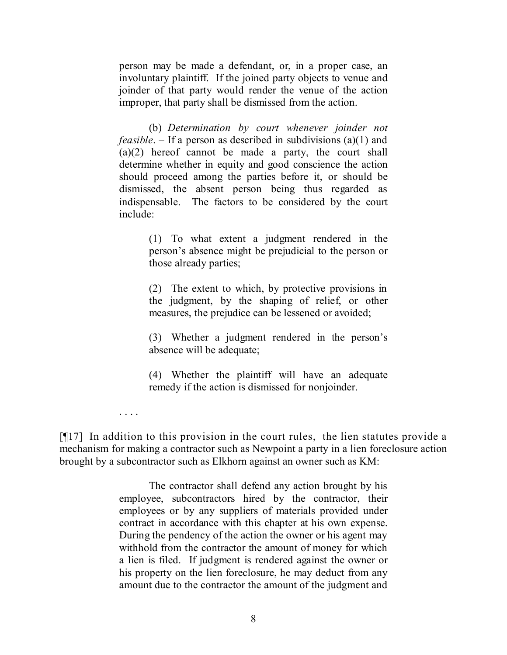person may be made a defendant, or, in a proper case, an involuntary plaintiff. If the joined party objects to venue and joinder of that party would render the venue of the action improper, that party shall be dismissed from the action.

(b) *Determination by court whenever joinder not feasible*. – If a person as described in subdivisions (a)(1) and (a)(2) hereof cannot be made a party, the court shall determine whether in equity and good conscience the action should proceed among the parties before it, or should be dismissed, the absent person being thus regarded as indispensable. The factors to be considered by the court include:

> (1) To what extent a judgment rendered in the person's absence might be prejudicial to the person or those already parties;

> (2) The extent to which, by protective provisions in the judgment, by the shaping of relief, or other measures, the prejudice can be lessened or avoided;

> (3) Whether a judgment rendered in the person's absence will be adequate;

> (4) Whether the plaintiff will have an adequate remedy if the action is dismissed for nonjoinder.

. . . .

[¶17] In addition to this provision in the court rules, the lien statutes provide a mechanism for making a contractor such as Newpoint a party in a lien foreclosure action brought by a subcontractor such as Elkhorn against an owner such as KM:

> The contractor shall defend any action brought by his employee, subcontractors hired by the contractor, their employees or by any suppliers of materials provided under contract in accordance with this chapter at his own expense. During the pendency of the action the owner or his agent may withhold from the contractor the amount of money for which a lien is filed. If judgment is rendered against the owner or his property on the lien foreclosure, he may deduct from any amount due to the contractor the amount of the judgment and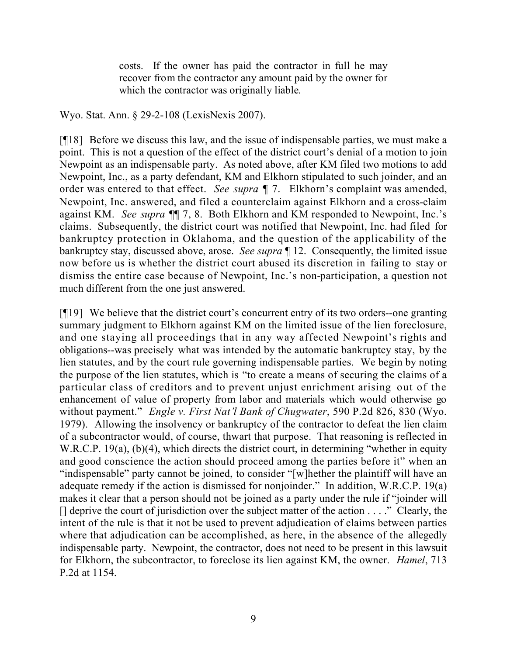costs. If the owner has paid the contractor in full he may recover from the contractor any amount paid by the owner for which the contractor was originally liable.

Wyo. Stat. Ann. § 29-2-108 (LexisNexis 2007).

[¶18] Before we discuss this law, and the issue of indispensable parties, we must make a point. This is not a question of the effect of the district court's denial of a motion to join Newpoint as an indispensable party. As noted above, after KM filed two motions to add Newpoint, Inc., as a party defendant, KM and Elkhorn stipulated to such joinder, and an order was entered to that effect. *See supra* ¶ 7. Elkhorn's complaint was amended, Newpoint, Inc. answered, and filed a counterclaim against Elkhorn and a cross-claim against KM. *See supra* ¶¶ 7, 8. Both Elkhorn and KM responded to Newpoint, Inc.'s claims. Subsequently, the district court was notified that Newpoint, Inc. had filed for bankruptcy protection in Oklahoma, and the question of the applicability of the bankruptcy stay, discussed above, arose. *See supra* ¶ 12. Consequently, the limited issue now before us is whether the district court abused its discretion in failing to stay or dismiss the entire case because of Newpoint, Inc.'s non-participation, a question not much different from the one just answered.

[¶19] We believe that the district court's concurrent entry of its two orders--one granting summary judgment to Elkhorn against KM on the limited issue of the lien foreclosure, and one staying all proceedings that in any way affected Newpoint's rights and obligations--was precisely what was intended by the automatic bankruptcy stay, by the lien statutes, and by the court rule governing indispensable parties. We begin by noting the purpose of the lien statutes, which is "to create a means of securing the claims of a particular class of creditors and to prevent unjust enrichment arising out of the enhancement of value of property from labor and materials which would otherwise go without payment." *Engle v. First Nat'l Bank of Chugwater*, 590 P.2d 826, 830 (Wyo. 1979). Allowing the insolvency or bankruptcy of the contractor to defeat the lien claim of a subcontractor would, of course, thwart that purpose. That reasoning is reflected in W.R.C.P. 19(a), (b)(4), which directs the district court, in determining "whether in equity and good conscience the action should proceed among the parties before it" when an "indispensable" party cannot be joined, to consider "[w]hether the plaintiff will have an adequate remedy if the action is dismissed for nonjoinder." In addition, W.R.C.P. 19(a) makes it clear that a person should not be joined as a party under the rule if "joinder will  $\Box$  deprive the court of jurisdiction over the subject matter of the action  $\dots$ ." Clearly, the intent of the rule is that it not be used to prevent adjudication of claims between parties where that adjudication can be accomplished, as here, in the absence of the allegedly indispensable party. Newpoint, the contractor, does not need to be present in this lawsuit for Elkhorn, the subcontractor, to foreclose its lien against KM, the owner. *Hamel*, 713 P.2d at 1154.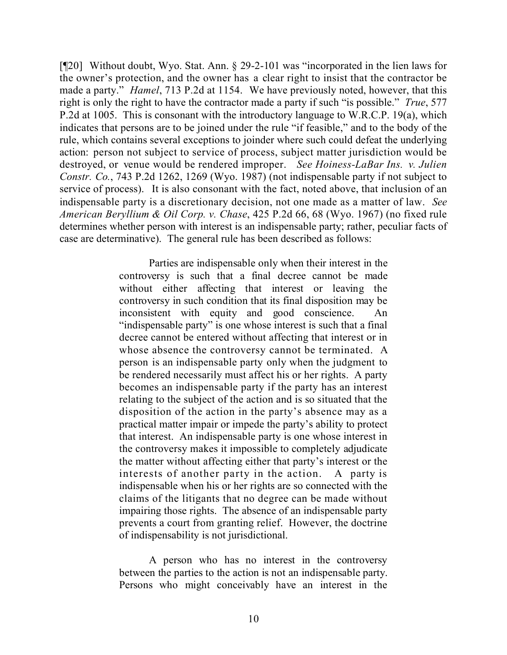[¶20] Without doubt, Wyo. Stat. Ann. § 29-2-101 was "incorporated in the lien laws for the owner's protection, and the owner has a clear right to insist that the contractor be made a party." *Hamel*, 713 P.2d at 1154.We have previously noted, however, that this right is only the right to have the contractor made a party if such "is possible." *True*, 577 P.2d at 1005. This is consonant with the introductory language to W.R.C.P. 19(a), which indicates that persons are to be joined under the rule "if feasible," and to the body of the rule, which contains several exceptions to joinder where such could defeat the underlying action: person not subject to service of process, subject matter jurisdiction would be destroyed, or venue would be rendered improper. *See Hoiness-LaBar Ins. v. Julien Constr. Co.*, 743 P.2d 1262, 1269 (Wyo. 1987) (not indispensable party if not subject to service of process). It is also consonant with the fact, noted above, that inclusion of an indispensable party is a discretionary decision, not one made as a matter of law. *See American Beryllium & Oil Corp. v. Chase*, 425 P.2d 66, 68 (Wyo. 1967) (no fixed rule determines whether person with interest is an indispensable party; rather, peculiar facts of case are determinative). The general rule has been described as follows:

> Parties are indispensable only when their interest in the controversy is such that a final decree cannot be made without either affecting that interest or leaving the controversy in such condition that its final disposition may be inconsistent with equity and good conscience. An "indispensable party" is one whose interest is such that a final decree cannot be entered without affecting that interest or in whose absence the controversy cannot be terminated. A person is an indispensable party only when the judgment to be rendered necessarily must affect his or her rights. A party becomes an indispensable party if the party has an interest relating to the subject of the action and is so situated that the disposition of the action in the party's absence may as a practical matter impair or impede the party's ability to protect that interest. An indispensable party is one whose interest in the controversy makes it impossible to completely adjudicate the matter without affecting either that party's interest or the interests of another party in the action. A party is indispensable when his or her rights are so connected with the claims of the litigants that no degree can be made without impairing those rights. The absence of an indispensable party prevents a court from granting relief. However, the doctrine of indispensability is not jurisdictional.

A person who has no interest in the controversy between the parties to the action is not an indispensable party. Persons who might conceivably have an interest in the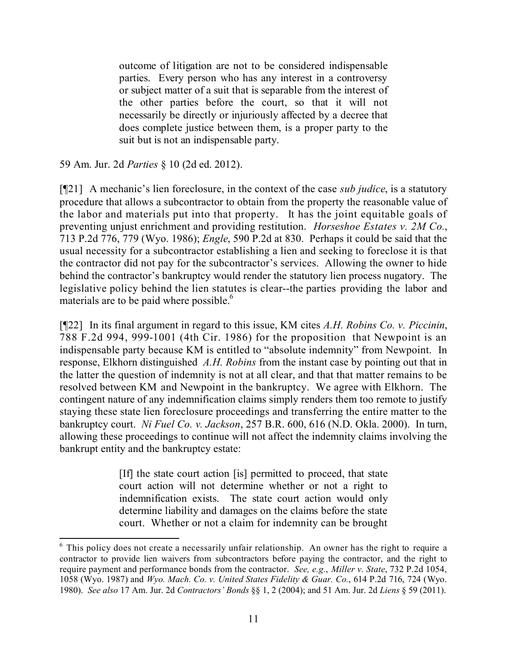outcome of litigation are not to be considered indispensable parties. Every person who has any interest in a controversy or subject matter of a suit that is separable from the interest of the other parties before the court, so that it will not necessarily be directly or injuriously affected by a decree that does complete justice between them, is a proper party to the suit but is not an indispensable party.

59 Am. Jur. 2d *Parties* § 10 (2d ed. 2012).

[¶21] A mechanic's lien foreclosure, in the context of the case *sub judice*, is a statutory procedure that allows a subcontractor to obtain from the property the reasonable value of the labor and materials put into that property. It has the joint equitable goals of preventing unjust enrichment and providing restitution. *Horseshoe Estates v. 2M Co.*, 713 P.2d 776, 779 (Wyo. 1986); *Engle*, 590 P.2d at 830. Perhaps it could be said that the usual necessity for a subcontractor establishing a lien and seeking to foreclose it is that the contractor did not pay for the subcontractor's services. Allowing the owner to hide behind the contractor's bankruptcy would render the statutory lien process nugatory. The legislative policy behind the lien statutes is clear--the parties providing the labor and materials are to be paid where possible.<sup>6</sup>

[¶22] In its final argument in regard to this issue, KM cites *A.H. Robins Co. v. Piccinin*, 788 F.2d 994, 999-1001 (4th Cir. 1986) for the proposition that Newpoint is an indispensable party because KM is entitled to "absolute indemnity" from Newpoint. In response, Elkhorn distinguished *A.H. Robins* from the instant case by pointing out that in the latter the question of indemnity is not at all clear, and that that matter remains to be resolved between KM and Newpoint in the bankruptcy. We agree with Elkhorn. The contingent nature of any indemnification claims simply renders them too remote to justify staying these state lien foreclosure proceedings and transferring the entire matter to the bankruptcy court. *Ni Fuel Co. v. Jackson*, 257 B.R. 600, 616 (N.D. Okla. 2000). In turn, allowing these proceedings to continue will not affect the indemnity claims involving the bankrupt entity and the bankruptcy estate:

> [If] the state court action [is] permitted to proceed, that state court action will not determine whether or not a right to indemnification exists. The state court action would only determine liability and damages on the claims before the state court. Whether or not a claim for indemnity can be brought

 $6$  This policy does not create a necessarily unfair relationship. An owner has the right to require a contractor to provide lien waivers from subcontractors before paying the contractor, and the right to require payment and performance bonds from the contractor. *See, e.g.*, *Miller v. State*, 732 P.2d 1054, 1058 (Wyo. 1987) and *Wyo. Mach. Co. v. United States Fidelity & Guar. Co.*, 614 P.2d 716, 724 (Wyo. 1980). *See also* 17 Am. Jur. 2d *Contractors' Bonds* §§ 1, 2 (2004); and 51 Am. Jur. 2d *Liens* § 59 (2011).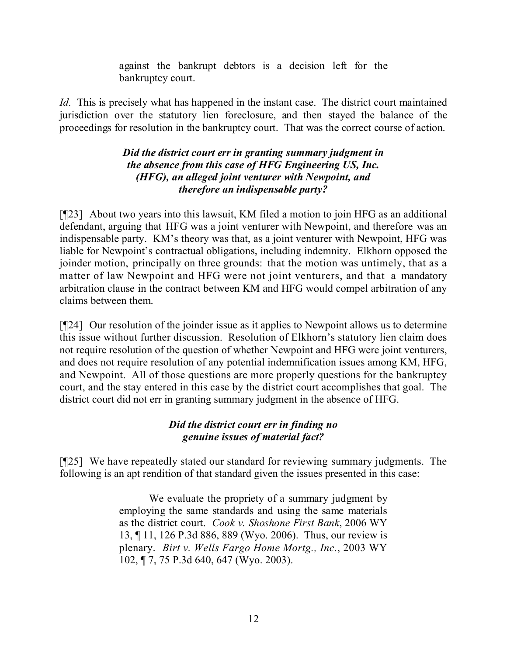against the bankrupt debtors is a decision left for the bankruptcy court.

*Id.* This is precisely what has happened in the instant case. The district court maintained jurisdiction over the statutory lien foreclosure, and then stayed the balance of the proceedings for resolution in the bankruptcy court. That was the correct course of action.

## *Did the district court err in granting summary judgment in the absence from this case of HFG Engineering US, Inc. (HFG), an alleged joint venturer with Newpoint, and therefore an indispensable party?*

[¶23] About two years into this lawsuit, KM filed a motion to join HFG as an additional defendant, arguing that HFG was a joint venturer with Newpoint, and therefore was an indispensable party. KM's theory was that, as a joint venturer with Newpoint, HFG was liable for Newpoint's contractual obligations, including indemnity. Elkhorn opposed the joinder motion, principally on three grounds: that the motion was untimely, that as a matter of law Newpoint and HFG were not joint venturers, and that a mandatory arbitration clause in the contract between KM and HFG would compel arbitration of any claims between them.

[¶24] Our resolution of the joinder issue as it applies to Newpoint allows us to determine this issue without further discussion. Resolution of Elkhorn's statutory lien claim does not require resolution of the question of whether Newpoint and HFG were joint venturers, and does not require resolution of any potential indemnification issues among KM, HFG, and Newpoint. All of those questions are more properly questions for the bankruptcy court, and the stay entered in this case by the district court accomplishes that goal. The district court did not err in granting summary judgment in the absence of HFG.

# *Did the district court err in finding no genuine issues of material fact?*

[¶25] We have repeatedly stated our standard for reviewing summary judgments. The following is an apt rendition of that standard given the issues presented in this case:

> We evaluate the propriety of a summary judgment by employing the same standards and using the same materials as the district court. *Cook v. Shoshone First Bank*, 2006 WY 13, ¶ 11, 126 P.3d 886, 889 (Wyo. 2006). Thus, our review is plenary. *Birt v. Wells Fargo Home Mortg., Inc.*, 2003 WY 102, ¶ 7, 75 P.3d 640, 647 (Wyo. 2003).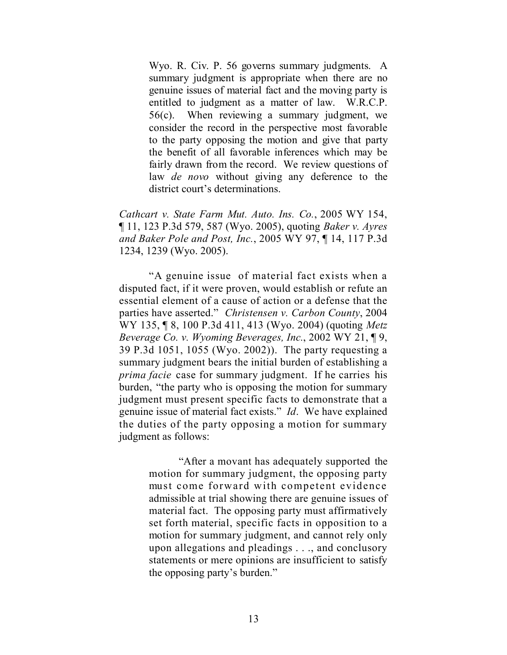Wyo. R. Civ. P. 56 governs summary judgments. A summary judgment is appropriate when there are no genuine issues of material fact and the moving party is entitled to judgment as a matter of law. W.R.C.P. 56(c). When reviewing a summary judgment, we consider the record in the perspective most favorable to the party opposing the motion and give that party the benefit of all favorable inferences which may be fairly drawn from the record. We review questions of law *de novo* without giving any deference to the district court's determinations.

*Cathcart v. State Farm Mut. Auto. Ins. Co.*, 2005 WY 154, ¶ 11, 123 P.3d 579, 587 (Wyo. 2005), quoting *Baker v. Ayres and Baker Pole and Post, Inc.*, 2005 WY 97, ¶ 14, 117 P.3d 1234, 1239 (Wyo. 2005).

"A genuine issue of material fact exists when a disputed fact, if it were proven, would establish or refute an essential element of a cause of action or a defense that the parties have asserted." *Christensen v. Carbon County*, 2004 WY 135, ¶ 8, 100 P.3d 411, 413 (Wyo. 2004) (quoting *Metz Beverage Co. v. Wyoming Beverages, Inc.*, 2002 WY 21, ¶ 9, 39 P.3d 1051, 1055 (Wyo. 2002)). The party requesting a summary judgment bears the initial burden of establishing a *prima facie* case for summary judgment. If he carries his burden, "the party who is opposing the motion for summary judgment must present specific facts to demonstrate that a genuine issue of material fact exists." *Id*. We have explained the duties of the party opposing a motion for summary judgment as follows:

> "After a movant has adequately supported the motion for summary judgment, the opposing party must come forward with competent evidence admissible at trial showing there are genuine issues of material fact. The opposing party must affirmatively set forth material, specific facts in opposition to a motion for summary judgment, and cannot rely only upon allegations and pleadings . . ., and conclusory statements or mere opinions are insufficient to satisfy the opposing party's burden."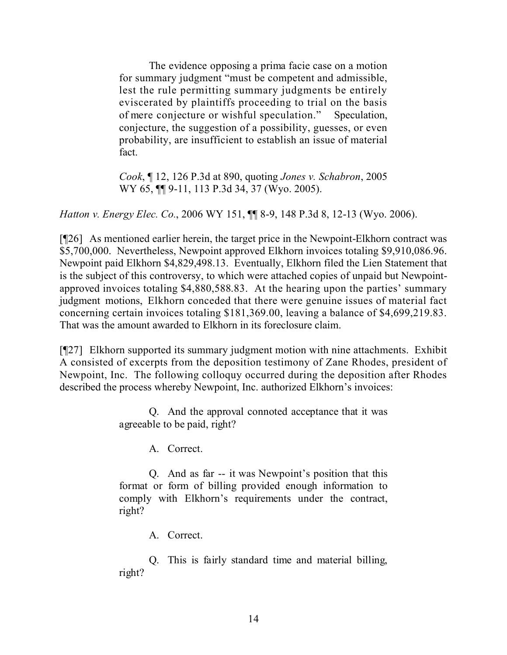The evidence opposing a prima facie case on a motion for summary judgment "must be competent and admissible, lest the rule permitting summary judgments be entirely eviscerated by plaintiffs proceeding to trial on the basis of mere conjecture or wishful speculation." Speculation, conjecture, the suggestion of a possibility, guesses, or even probability, are insufficient to establish an issue of material fact.

*Cook*, ¶ 12, 126 P.3d at 890, quoting *Jones v. Schabron*, 2005 WY 65, **[1]** 9-11, 113 P.3d 34, 37 (Wyo. 2005).

*Hatton v. Energy Elec. Co.*, 2006 WY 151, ¶¶ 8-9, 148 P.3d 8, 12-13 (Wyo. 2006).

[¶26] As mentioned earlier herein, the target price in the Newpoint-Elkhorn contract was \$5,700,000. Nevertheless, Newpoint approved Elkhorn invoices totaling \$9,910,086.96. Newpoint paid Elkhorn \$4,829,498.13. Eventually, Elkhorn filed the Lien Statement that is the subject of this controversy, to which were attached copies of unpaid but Newpointapproved invoices totaling \$4,880,588.83. At the hearing upon the parties' summary judgment motions, Elkhorn conceded that there were genuine issues of material fact concerning certain invoices totaling \$181,369.00, leaving a balance of \$4,699,219.83. That was the amount awarded to Elkhorn in its foreclosure claim.

[¶27] Elkhorn supported its summary judgment motion with nine attachments. Exhibit A consisted of excerpts from the deposition testimony of Zane Rhodes, president of Newpoint, Inc. The following colloquy occurred during the deposition after Rhodes described the process whereby Newpoint, Inc. authorized Elkhorn's invoices:

> Q. And the approval connoted acceptance that it was agreeable to be paid, right?

> > A. Correct.

Q. And as far -- it was Newpoint's position that this format or form of billing provided enough information to comply with Elkhorn's requirements under the contract, right?

A. Correct.

Q. This is fairly standard time and material billing, right?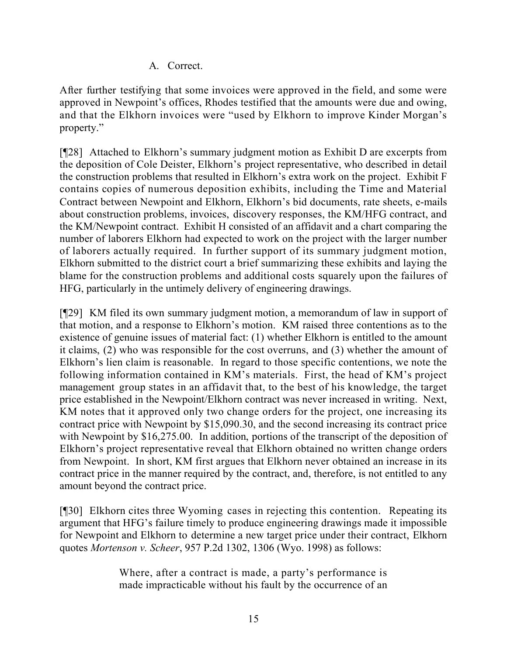A. Correct.

After further testifying that some invoices were approved in the field, and some were approved in Newpoint's offices, Rhodes testified that the amounts were due and owing, and that the Elkhorn invoices were "used by Elkhorn to improve Kinder Morgan's property."

[¶28] Attached to Elkhorn's summary judgment motion as Exhibit D are excerpts from the deposition of Cole Deister, Elkhorn's project representative, who described in detail the construction problems that resulted in Elkhorn's extra work on the project. Exhibit F contains copies of numerous deposition exhibits, including the Time and Material Contract between Newpoint and Elkhorn, Elkhorn's bid documents, rate sheets, e-mails about construction problems, invoices, discovery responses, the KM/HFG contract, and the KM/Newpoint contract. Exhibit H consisted of an affidavit and a chart comparing the number of laborers Elkhorn had expected to work on the project with the larger number of laborers actually required. In further support of its summary judgment motion, Elkhorn submitted to the district court a brief summarizing these exhibits and laying the blame for the construction problems and additional costs squarely upon the failures of HFG, particularly in the untimely delivery of engineering drawings.

[¶29] KM filed its own summary judgment motion, a memorandum of law in support of that motion, and a response to Elkhorn's motion. KM raised three contentions as to the existence of genuine issues of material fact: (1) whether Elkhorn is entitled to the amount it claims, (2) who was responsible for the cost overruns, and (3) whether the amount of Elkhorn's lien claim is reasonable. In regard to those specific contentions, we note the following information contained in KM's materials. First, the head of KM's project management group states in an affidavit that, to the best of his knowledge, the target price established in the Newpoint/Elkhorn contract was never increased in writing. Next, KM notes that it approved only two change orders for the project, one increasing its contract price with Newpoint by \$15,090.30, and the second increasing its contract price with Newpoint by \$16,275.00. In addition, portions of the transcript of the deposition of Elkhorn's project representative reveal that Elkhorn obtained no written change orders from Newpoint. In short, KM first argues that Elkhorn never obtained an increase in its contract price in the manner required by the contract, and, therefore, is not entitled to any amount beyond the contract price.

[¶30] Elkhorn cites three Wyoming cases in rejecting this contention. Repeating its argument that HFG's failure timely to produce engineering drawings made it impossible for Newpoint and Elkhorn to determine a new target price under their contract, Elkhorn quotes *Mortenson v. Scheer*, 957 P.2d 1302, 1306 (Wyo. 1998) as follows:

> Where, after a contract is made, a party's performance is made impracticable without his fault by the occurrence of an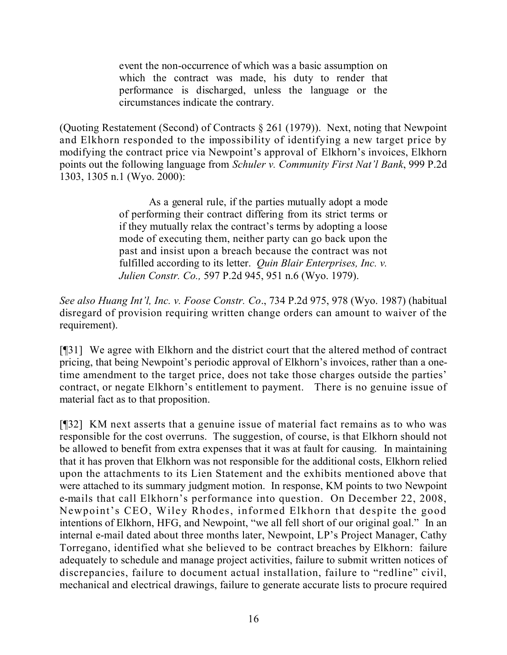event the non-occurrence of which was a basic assumption on which the contract was made, his duty to render that performance is discharged, unless the language or the circumstances indicate the contrary.

(Quoting Restatement (Second) of Contracts § 261 (1979)). Next, noting that Newpoint and Elkhorn responded to the impossibility of identifying a new target price by modifying the contract price via Newpoint's approval of Elkhorn's invoices, Elkhorn points out the following language from *Schuler v. Community First Nat'l Bank*, 999 P.2d 1303, 1305 n.1 (Wyo. 2000):

> As a general rule, if the parties mutually adopt a mode of performing their contract differing from its strict terms or if they mutually relax the contract's terms by adopting a loose mode of executing them, neither party can go back upon the past and insist upon a breach because the contract was not fulfilled according to its letter. *Quin Blair Enterprises, Inc. v. Julien Constr. Co.,* 597 P.2d 945, 951 n.6 (Wyo. 1979).

*See also Huang Int'l, Inc. v. Foose Constr. Co*., 734 P.2d 975, 978 (Wyo. 1987) (habitual disregard of provision requiring written change orders can amount to waiver of the requirement).

[¶31] We agree with Elkhorn and the district court that the altered method of contract pricing, that being Newpoint's periodic approval of Elkhorn's invoices, rather than a onetime amendment to the target price, does not take those charges outside the parties' contract, or negate Elkhorn's entitlement to payment. There is no genuine issue of material fact as to that proposition.

[¶32] KM next asserts that a genuine issue of material fact remains as to who was responsible for the cost overruns. The suggestion, of course, is that Elkhorn should not be allowed to benefit from extra expenses that it was at fault for causing. In maintaining that it has proven that Elkhorn was not responsible for the additional costs, Elkhorn relied upon the attachments to its Lien Statement and the exhibits mentioned above that were attached to its summary judgment motion. In response, KM points to two Newpoint e-mails that call Elkhorn's performance into question. On December 22, 2008, Newpoint's CEO, Wiley Rhodes, informed Elkhorn that despite the good intentions of Elkhorn, HFG, and Newpoint, "we all fell short of our original goal." In an internal e-mail dated about three months later, Newpoint, LP's Project Manager, Cathy Torregano, identified what she believed to be contract breaches by Elkhorn: failure adequately to schedule and manage project activities, failure to submit written notices of discrepancies, failure to document actual installation, failure to "redline" civil, mechanical and electrical drawings, failure to generate accurate lists to procure required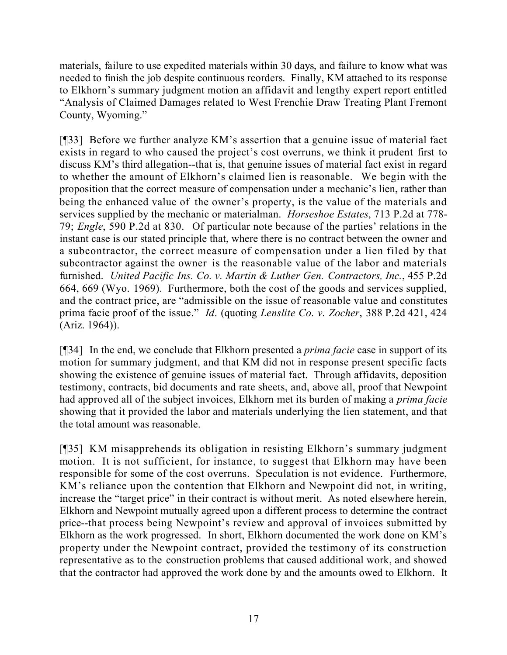materials, failure to use expedited materials within 30 days, and failure to know what was needed to finish the job despite continuous reorders. Finally, KM attached to its response to Elkhorn's summary judgment motion an affidavit and lengthy expert report entitled "Analysis of Claimed Damages related to West Frenchie Draw Treating Plant Fremont County, Wyoming."

[¶33] Before we further analyze KM's assertion that a genuine issue of material fact exists in regard to who caused the project's cost overruns, we think it prudent first to discuss KM's third allegation--that is, that genuine issues of material fact exist in regard to whether the amount of Elkhorn's claimed lien is reasonable. We begin with the proposition that the correct measure of compensation under a mechanic's lien, rather than being the enhanced value of the owner's property, is the value of the materials and services supplied by the mechanic or materialman. *Horseshoe Estates*, 713 P.2d at 778- 79; *Engle*, 590 P.2d at 830. Of particular note because of the parties' relations in the instant case is our stated principle that, where there is no contract between the owner and a subcontractor, the correct measure of compensation under a lien filed by that subcontractor against the owner is the reasonable value of the labor and materials furnished. *United Pacific Ins. Co. v. Martin & Luther Gen. Contractors, Inc.*, 455 P.2d 664, 669 (Wyo. 1969). Furthermore, both the cost of the goods and services supplied, and the contract price, are "admissible on the issue of reasonable value and constitutes prima facie proof of the issue." *Id*. (quoting *Lenslite Co. v. Zocher*, 388 P.2d 421, 424 (Ariz. 1964)).

[¶34] In the end, we conclude that Elkhorn presented a *prima facie* case in support of its motion for summary judgment, and that KM did not in response present specific facts showing the existence of genuine issues of material fact. Through affidavits, deposition testimony, contracts, bid documents and rate sheets, and, above all, proof that Newpoint had approved all of the subject invoices, Elkhorn met its burden of making a *prima facie* showing that it provided the labor and materials underlying the lien statement, and that the total amount was reasonable.

[¶35] KM misapprehends its obligation in resisting Elkhorn's summary judgment motion. It is not sufficient, for instance, to suggest that Elkhorn may have been responsible for some of the cost overruns. Speculation is not evidence. Furthermore, KM's reliance upon the contention that Elkhorn and Newpoint did not, in writing, increase the "target price" in their contract is without merit. As noted elsewhere herein, Elkhorn and Newpoint mutually agreed upon a different process to determine the contract price--that process being Newpoint's review and approval of invoices submitted by Elkhorn as the work progressed. In short, Elkhorn documented the work done on KM's property under the Newpoint contract, provided the testimony of its construction representative as to the construction problems that caused additional work, and showed that the contractor had approved the work done by and the amounts owed to Elkhorn. It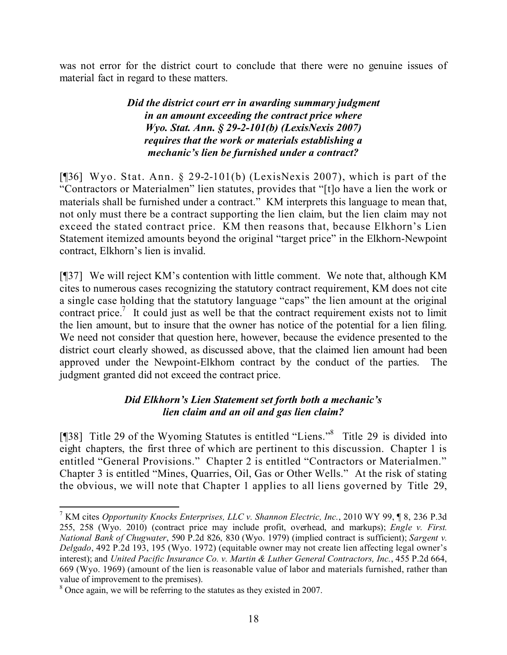was not error for the district court to conclude that there were no genuine issues of material fact in regard to these matters.

## *Did the district court err in awarding summary judgment in an amount exceeding the contract price where Wyo. Stat. Ann. § 29-2-101(b) (LexisNexis 2007) requires that the work or materials establishing a mechanic's lien be furnished under a contract?*

[[[36] Wyo. Stat. Ann. § 29-2-101(b) (LexisNexis 2007), which is part of the "Contractors or Materialmen" lien statutes, provides that "[t]o have a lien the work or materials shall be furnished under a contract." KM interprets this language to mean that, not only must there be a contract supporting the lien claim, but the lien claim may not exceed the stated contract price. KM then reasons that, because Elkhorn's Lien Statement itemized amounts beyond the original "target price" in the Elkhorn-Newpoint contract, Elkhorn's lien is invalid.

[¶37] We will reject KM's contention with little comment. We note that, although KM cites to numerous cases recognizing the statutory contract requirement, KM does not cite a single case holding that the statutory language "caps" the lien amount at the original contract price.<sup>7</sup> It could just as well be that the contract requirement exists not to limit the lien amount, but to insure that the owner has notice of the potential for a lien filing. We need not consider that question here, however, because the evidence presented to the district court clearly showed, as discussed above, that the claimed lien amount had been approved under the Newpoint-Elkhorn contract by the conduct of the parties. The judgment granted did not exceed the contract price.

# *Did Elkhorn's Lien Statement set forth both a mechanic's lien claim and an oil and gas lien claim?*

[¶38] Title 29 of the Wyoming Statutes is entitled "Liens."<sup>8</sup> Title 29 is divided into eight chapters, the first three of which are pertinent to this discussion. Chapter 1 is entitled "General Provisions." Chapter 2 is entitled "Contractors or Materialmen." Chapter 3 is entitled "Mines, Quarries, Oil, Gas or Other Wells." At the risk of stating the obvious, we will note that Chapter 1 applies to all liens governed by Title 29,

<sup>7</sup> KM cites *Opportunity Knocks Enterprises, LLC v. Shannon Electric, Inc.*, 2010 WY 99, ¶ 8, 236 P.3d 255, 258 (Wyo. 2010) (contract price may include profit, overhead, and markups); *Engle v. First. National Bank of Chugwater*, 590 P.2d 826, 830 (Wyo. 1979) (implied contract is sufficient); *Sargent v. Delgado*, 492 P.2d 193, 195 (Wyo. 1972) (equitable owner may not create lien affecting legal owner's interest); and *United Pacific Insurance Co. v. Martin & Luther General Contractors, Inc.*, 455 P.2d 664, 669 (Wyo. 1969) (amount of the lien is reasonable value of labor and materials furnished, rather than value of improvement to the premises).

<sup>8</sup> Once again, we will be referring to the statutes as they existed in 2007.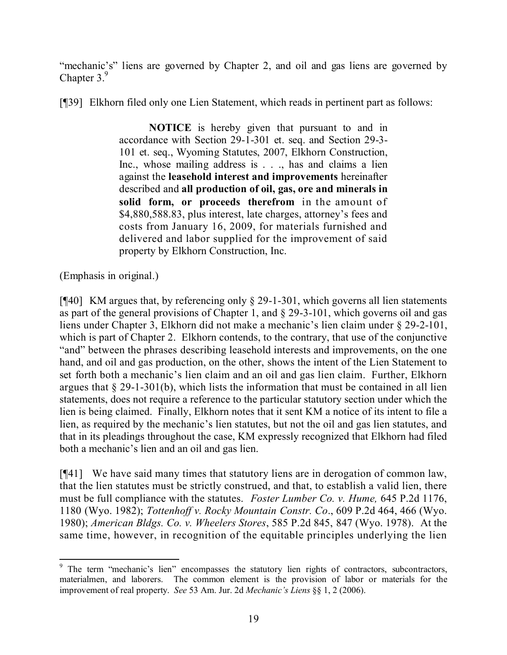"mechanic's" liens are governed by Chapter 2, and oil and gas liens are governed by Chapter 3.<sup>9</sup>

[¶39] Elkhorn filed only one Lien Statement, which reads in pertinent part as follows:

**NOTICE** is hereby given that pursuant to and in accordance with Section 29-1-301 et. seq. and Section 29-3- 101 et. seq., Wyoming Statutes, 2007, Elkhorn Construction, Inc., whose mailing address is . . ., has and claims a lien against the **leasehold interest and improvements** hereinafter described and **all production of oil, gas, ore and minerals in solid form, or proceeds therefrom** in the amount of \$4,880,588.83, plus interest, late charges, attorney's fees and costs from January 16, 2009, for materials furnished and delivered and labor supplied for the improvement of said property by Elkhorn Construction, Inc.

(Emphasis in original.)

[¶40] KM argues that, by referencing only § 29-1-301, which governs all lien statements as part of the general provisions of Chapter 1, and § 29-3-101, which governs oil and gas liens under Chapter 3, Elkhorn did not make a mechanic's lien claim under § 29-2-101, which is part of Chapter 2. Elkhorn contends, to the contrary, that use of the conjunctive "and" between the phrases describing leasehold interests and improvements, on the one hand, and oil and gas production, on the other, shows the intent of the Lien Statement to set forth both a mechanic's lien claim and an oil and gas lien claim. Further, Elkhorn argues that  $\S 29$ -1-301(b), which lists the information that must be contained in all lien statements, does not require a reference to the particular statutory section under which the lien is being claimed. Finally, Elkhorn notes that it sent KM a notice of its intent to file a lien, as required by the mechanic's lien statutes, but not the oil and gas lien statutes, and that in its pleadings throughout the case, KM expressly recognized that Elkhorn had filed both a mechanic's lien and an oil and gas lien.

[¶41] We have said many times that statutory liens are in derogation of common law, that the lien statutes must be strictly construed, and that, to establish a valid lien, there must be full compliance with the statutes. *Foster Lumber Co. v. Hume,* 645 P.2d 1176, 1180 (Wyo. 1982); *Tottenhoff v. Rocky Mountain Constr. Co*., 609 P.2d 464, 466 (Wyo. 1980); *American Bldgs. Co. v. Wheelers Stores*, 585 P.2d 845, 847 (Wyo. 1978). At the same time, however, in recognition of the equitable principles underlying the lien

 <sup>9</sup> The term "mechanic's lien" encompasses the statutory lien rights of contractors, subcontractors, materialmen, and laborers. The common element is the provision of labor or materials for the improvement of real property. *See* 53 Am. Jur. 2d *Mechanic's Liens* §§ 1, 2 (2006).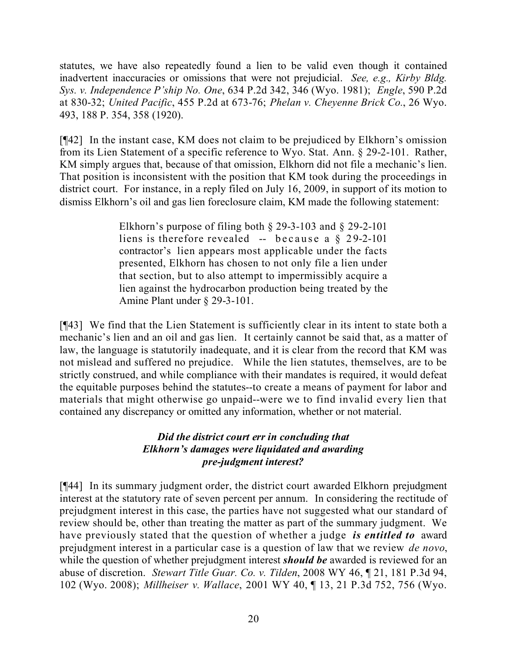statutes, we have also repeatedly found a lien to be valid even though it contained inadvertent inaccuracies or omissions that were not prejudicial. *See, e.g., Kirby Bldg. Sys. v. Independence P'ship No. One*, 634 P.2d 342, 346 (Wyo. 1981); *Engle*, 590 P.2d at 830-32; *United Pacific*, 455 P.2d at 673-76; *Phelan v. Cheyenne Brick Co.*, 26 Wyo. 493, 188 P. 354, 358 (1920).

[¶42] In the instant case, KM does not claim to be prejudiced by Elkhorn's omission from its Lien Statement of a specific reference to Wyo. Stat. Ann. § 29-2-101. Rather, KM simply argues that, because of that omission, Elkhorn did not file a mechanic's lien. That position is inconsistent with the position that KM took during the proceedings in district court. For instance, in a reply filed on July 16, 2009, in support of its motion to dismiss Elkhorn's oil and gas lien foreclosure claim, KM made the following statement:

> Elkhorn's purpose of filing both § 29-3-103 and § 29-2-101 liens is therefore revealed -- because a § 29-2-101 contractor's lien appears most applicable under the facts presented, Elkhorn has chosen to not only file a lien under that section, but to also attempt to impermissibly acquire a lien against the hydrocarbon production being treated by the Amine Plant under § 29-3-101.

[¶43] We find that the Lien Statement is sufficiently clear in its intent to state both a mechanic's lien and an oil and gas lien. It certainly cannot be said that, as a matter of law, the language is statutorily inadequate, and it is clear from the record that KM was not mislead and suffered no prejudice. While the lien statutes, themselves, are to be strictly construed, and while compliance with their mandates is required, it would defeat the equitable purposes behind the statutes--to create a means of payment for labor and materials that might otherwise go unpaid--were we to find invalid every lien that contained any discrepancy or omitted any information, whether or not material.

## *Did the district court err in concluding that Elkhorn's damages were liquidated and awarding pre-judgment interest?*

[¶44] In its summary judgment order, the district court awarded Elkhorn prejudgment interest at the statutory rate of seven percent per annum. In considering the rectitude of prejudgment interest in this case, the parties have not suggested what our standard of review should be, other than treating the matter as part of the summary judgment. We have previously stated that the question of whether a judge *is entitled to* award prejudgment interest in a particular case is a question of law that we review *de novo*, while the question of whether prejudgment interest *should be* awarded is reviewed for an abuse of discretion. *Stewart Title Guar. Co. v. Tilden*, 2008 WY 46, ¶ 21, 181 P.3d 94, 102 (Wyo. 2008); *Millheiser v. Wallace*, 2001 WY 40, ¶ 13, 21 P.3d 752, 756 (Wyo.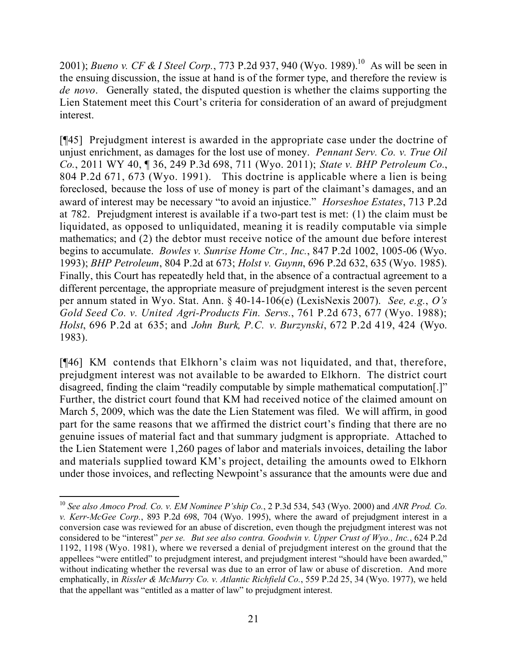2001); *Bueno v. CF & I Steel Corp.*, 773 P.2d 937, 940 (Wyo. 1989).<sup>10</sup> As will be seen in the ensuing discussion, the issue at hand is of the former type, and therefore the review is *de novo*. Generally stated, the disputed question is whether the claims supporting the Lien Statement meet this Court's criteria for consideration of an award of prejudgment interest.

[¶45] Prejudgment interest is awarded in the appropriate case under the doctrine of unjust enrichment, as damages for the lost use of money. *Pennant Serv. Co. v. True Oil Co.*, 2011 WY 40, ¶ 36, 249 P.3d 698, 711 (Wyo. 2011); *State v. BHP Petroleum Co.*, 804 P.2d 671, 673 (Wyo. 1991). This doctrine is applicable where a lien is being foreclosed, because the loss of use of money is part of the claimant's damages, and an award of interest may be necessary "to avoid an injustice." *Horseshoe Estates*, 713 P.2d at 782. Prejudgment interest is available if a two-part test is met: (1) the claim must be liquidated, as opposed to unliquidated, meaning it is readily computable via simple mathematics; and (2) the debtor must receive notice of the amount due before interest begins to accumulate. *Bowles v. Sunrise Home Ctr., Inc.*, 847 P.2d 1002, 1005-06 (Wyo. 1993); *BHP Petroleum*, 804 P.2d at 673; *Holst v. Guynn*, 696 P.2d 632, 635 (Wyo. 1985). Finally, this Court has repeatedly held that, in the absence of a contractual agreement to a different percentage, the appropriate measure of prejudgment interest is the seven percent per annum stated in Wyo. Stat. Ann. § 40-14-106(e) (LexisNexis 2007). *See, e.g.*, *O's Gold Seed Co. v. United Agri-Products Fin. Servs.*, 761 P.2d 673, 677 (Wyo. 1988); *Holst*, 696 P.2d at 635; and *John Burk, P.C. v. Burzynski*, 672 P.2d 419, 424 (Wyo. 1983).

[¶46] KM contends that Elkhorn's claim was not liquidated, and that, therefore, prejudgment interest was not available to be awarded to Elkhorn. The district court disagreed, finding the claim "readily computable by simple mathematical computation[.]" Further, the district court found that KM had received notice of the claimed amount on March 5, 2009, which was the date the Lien Statement was filed. We will affirm, in good part for the same reasons that we affirmed the district court's finding that there are no genuine issues of material fact and that summary judgment is appropriate. Attached to the Lien Statement were 1,260 pages of labor and materials invoices, detailing the labor and materials supplied toward KM's project, detailing the amounts owed to Elkhorn under those invoices, and reflecting Newpoint's assurance that the amounts were due and

 <sup>10</sup> *See also Amoco Prod. Co. v. EM Nominee P'ship Co.*, 2 P.3d 534, 543 (Wyo. 2000) and *ANR Prod. Co. v. Kerr-McGee Corp.*, 893 P.2d 698, 704 (Wyo. 1995), where the award of prejudgment interest in a conversion case was reviewed for an abuse of discretion, even though the prejudgment interest was not considered to be "interest" *per se. But see also contra. Goodwin v. Upper Crust of Wyo., Inc.*, 624 P.2d 1192, 1198 (Wyo. 1981), where we reversed a denial of prejudgment interest on the ground that the appellees "were entitled" to prejudgment interest, and prejudgment interest "should have been awarded," without indicating whether the reversal was due to an error of law or abuse of discretion. And more emphatically, in *Rissler & McMurry Co. v. Atlantic Richfield Co.*, 559 P.2d 25, 34 (Wyo. 1977), we held that the appellant was "entitled as a matter of law" to prejudgment interest.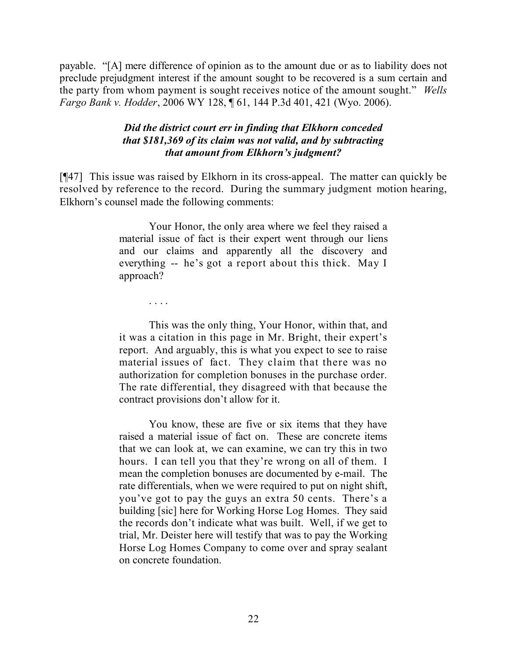payable. "[A] mere difference of opinion as to the amount due or as to liability does not preclude prejudgment interest if the amount sought to be recovered is a sum certain and the party from whom payment is sought receives notice of the amount sought." *Wells Fargo Bank v. Hodder*, 2006 WY 128, ¶ 61, 144 P.3d 401, 421 (Wyo. 2006).

### *Did the district court err in finding that Elkhorn conceded that \$181,369 of its claim was not valid, and by subtracting that amount from Elkhorn's judgment?*

[¶47] This issue was raised by Elkhorn in its cross-appeal. The matter can quickly be resolved by reference to the record. During the summary judgment motion hearing, Elkhorn's counsel made the following comments:

> Your Honor, the only area where we feel they raised a material issue of fact is their expert went through our liens and our claims and apparently all the discovery and everything -- he's got a report about this thick. May I approach?

> > . . . .

This was the only thing, Your Honor, within that, and it was a citation in this page in Mr. Bright, their expert's report. And arguably, this is what you expect to see to raise material issues of fact. They claim that there was no authorization for completion bonuses in the purchase order. The rate differential, they disagreed with that because the contract provisions don't allow for it.

You know, these are five or six items that they have raised a material issue of fact on. These are concrete items that we can look at, we can examine, we can try this in two hours. I can tell you that they're wrong on all of them. I mean the completion bonuses are documented by e-mail. The rate differentials, when we were required to put on night shift, you've got to pay the guys an extra 50 cents. There's a building [sic] here for Working Horse Log Homes. They said the records don't indicate what was built. Well, if we get to trial, Mr. Deister here will testify that was to pay the Working Horse Log Homes Company to come over and spray sealant on concrete foundation.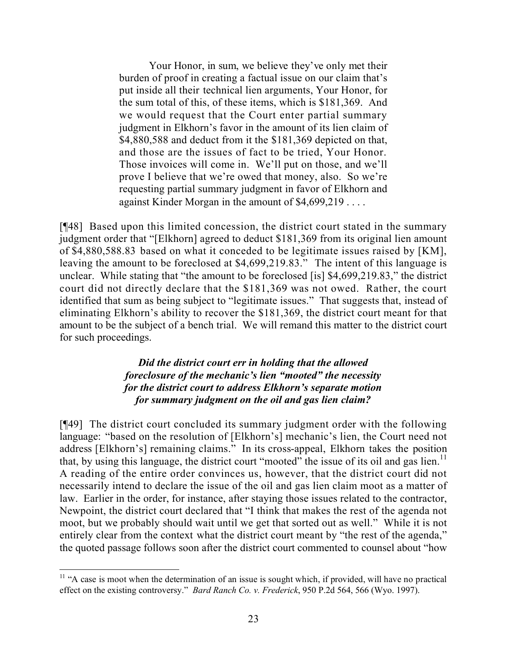Your Honor, in sum, we believe they've only met their burden of proof in creating a factual issue on our claim that's put inside all their technical lien arguments, Your Honor, for the sum total of this, of these items, which is \$181,369. And we would request that the Court enter partial summary judgment in Elkhorn's favor in the amount of its lien claim of \$4,880,588 and deduct from it the \$181,369 depicted on that, and those are the issues of fact to be tried, Your Honor. Those invoices will come in. We'll put on those, and we'll prove I believe that we're owed that money, also. So we're requesting partial summary judgment in favor of Elkhorn and against Kinder Morgan in the amount of \$4,699,219 . . . .

[¶48] Based upon this limited concession, the district court stated in the summary judgment order that "[Elkhorn] agreed to deduct \$181,369 from its original lien amount of \$4,880,588.83 based on what it conceded to be legitimate issues raised by [KM], leaving the amount to be foreclosed at \$4,699,219.83." The intent of this language is unclear. While stating that "the amount to be foreclosed [is] \$4,699,219.83," the district court did not directly declare that the \$181,369 was not owed. Rather, the court identified that sum as being subject to "legitimate issues." That suggests that, instead of eliminating Elkhorn's ability to recover the \$181,369, the district court meant for that amount to be the subject of a bench trial. We will remand this matter to the district court for such proceedings.

## *Did the district court err in holding that the allowed foreclosure of the mechanic's lien "mooted" the necessity for the district court to address Elkhorn's separate motion for summary judgment on the oil and gas lien claim?*

[¶49] The district court concluded its summary judgment order with the following language: "based on the resolution of [Elkhorn's] mechanic's lien, the Court need not address [Elkhorn's] remaining claims." In its cross-appeal, Elkhorn takes the position that, by using this language, the district court "mooted" the issue of its oil and gas lien.<sup>11</sup> A reading of the entire order convinces us, however, that the district court did not necessarily intend to declare the issue of the oil and gas lien claim moot as a matter of law. Earlier in the order, for instance, after staying those issues related to the contractor, Newpoint, the district court declared that "I think that makes the rest of the agenda not moot, but we probably should wait until we get that sorted out as well." While it is not entirely clear from the context what the district court meant by "the rest of the agenda," the quoted passage follows soon after the district court commented to counsel about "how

  $11$  "A case is moot when the determination of an issue is sought which, if provided, will have no practical effect on the existing controversy." *Bard Ranch Co. v. Frederick*, 950 P.2d 564, 566 (Wyo. 1997).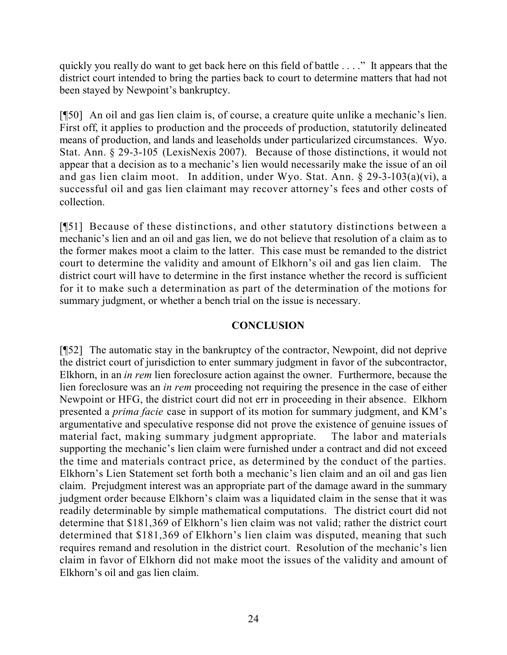quickly you really do want to get back here on this field of battle . . . ." It appears that the district court intended to bring the parties back to court to determine matters that had not been stayed by Newpoint's bankruptcy.

[¶50] An oil and gas lien claim is, of course, a creature quite unlike a mechanic's lien. First off, it applies to production and the proceeds of production, statutorily delineated means of production, and lands and leaseholds under particularized circumstances. Wyo. Stat. Ann. § 29-3-105 (LexisNexis 2007). Because of those distinctions, it would not appear that a decision as to a mechanic's lien would necessarily make the issue of an oil and gas lien claim moot. In addition, under Wyo. Stat. Ann. § 29-3-103(a)(vi), a successful oil and gas lien claimant may recover attorney's fees and other costs of collection.

[¶51] Because of these distinctions, and other statutory distinctions between a mechanic's lien and an oil and gas lien, we do not believe that resolution of a claim as to the former makes moot a claim to the latter. This case must be remanded to the district court to determine the validity and amount of Elkhorn's oil and gas lien claim. The district court will have to determine in the first instance whether the record is sufficient for it to make such a determination as part of the determination of the motions for summary judgment, or whether a bench trial on the issue is necessary.

# **CONCLUSION**

[¶52] The automatic stay in the bankruptcy of the contractor, Newpoint, did not deprive the district court of jurisdiction to enter summary judgment in favor of the subcontractor, Elkhorn, in an *in rem* lien foreclosure action against the owner. Furthermore, because the lien foreclosure was an *in rem* proceeding not requiring the presence in the case of either Newpoint or HFG, the district court did not err in proceeding in their absence. Elkhorn presented a *prima facie* case in support of its motion for summary judgment, and KM's argumentative and speculative response did not prove the existence of genuine issues of material fact, making summary judgment appropriate. The labor and materials supporting the mechanic's lien claim were furnished under a contract and did not exceed the time and materials contract price, as determined by the conduct of the parties. Elkhorn's Lien Statement set forth both a mechanic's lien claim and an oil and gas lien claim. Prejudgment interest was an appropriate part of the damage award in the summary judgment order because Elkhorn's claim was a liquidated claim in the sense that it was readily determinable by simple mathematical computations. The district court did not determine that \$181,369 of Elkhorn's lien claim was not valid; rather the district court determined that \$181,369 of Elkhorn's lien claim was disputed, meaning that such requires remand and resolution in the district court. Resolution of the mechanic's lien claim in favor of Elkhorn did not make moot the issues of the validity and amount of Elkhorn's oil and gas lien claim.